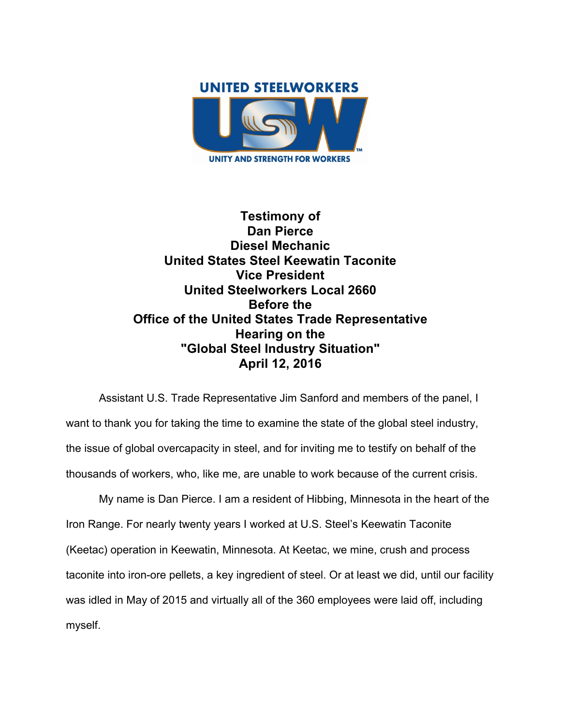

**Testimony of Dan Pierce Diesel Mechanic United States Steel Keewatin Taconite Vice President United Steelworkers Local 2660 Before the Office of the United States Trade Representative Hearing on the "Global Steel Industry Situation" April 12, 2016**

Assistant U.S. Trade Representative Jim Sanford and members of the panel, I want to thank you for taking the time to examine the state of the global steel industry, the issue of global overcapacity in steel, and for inviting me to testify on behalf of the thousands of workers, who, like me, are unable to work because of the current crisis.

My name is Dan Pierce. I am a resident of Hibbing, Minnesota in the heart of the Iron Range. For nearly twenty years I worked at U.S. Steel's Keewatin Taconite (Keetac) operation in Keewatin, Minnesota. At Keetac, we mine, crush and process taconite into iron-ore pellets, a key ingredient of steel. Or at least we did, until our facility was idled in May of 2015 and virtually all of the 360 employees were laid off, including myself.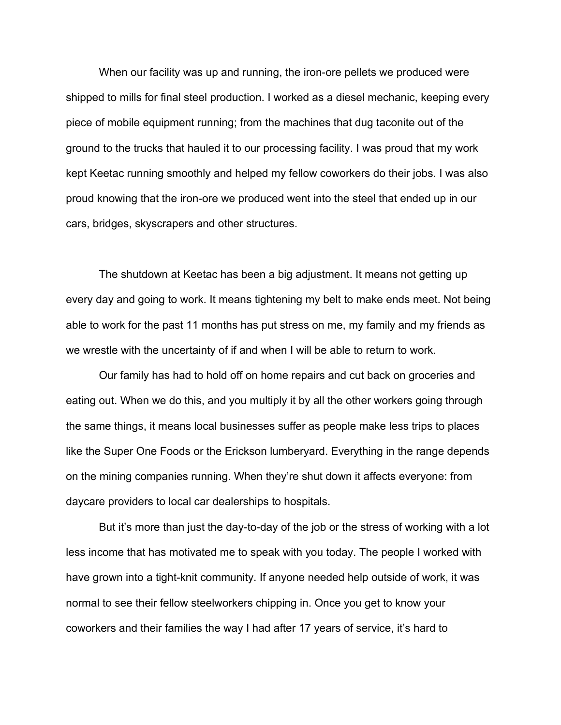When our facility was up and running, the iron-ore pellets we produced were shipped to mills for final steel production. I worked as a diesel mechanic, keeping every piece of mobile equipment running; from the machines that dug taconite out of the ground to the trucks that hauled it to our processing facility. I was proud that my work kept Keetac running smoothly and helped my fellow coworkers do their jobs. I was also proud knowing that the iron-ore we produced went into the steel that ended up in our cars, bridges, skyscrapers and other structures.

The shutdown at Keetac has been a big adjustment. It means not getting up every day and going to work. It means tightening my belt to make ends meet. Not being able to work for the past 11 months has put stress on me, my family and my friends as we wrestle with the uncertainty of if and when I will be able to return to work.

Our family has had to hold off on home repairs and cut back on groceries and eating out. When we do this, and you multiply it by all the other workers going through the same things, it means local businesses suffer as people make less trips to places like the Super One Foods or the Erickson lumberyard. Everything in the range depends on the mining companies running. When they're shut down it affects everyone: from daycare providers to local car dealerships to hospitals.

But it's more than just the day-to-day of the job or the stress of working with a lot less income that has motivated me to speak with you today. The people I worked with have grown into a tight-knit community. If anyone needed help outside of work, it was normal to see their fellow steelworkers chipping in. Once you get to know your coworkers and their families the way I had after 17 years of service, it's hard to